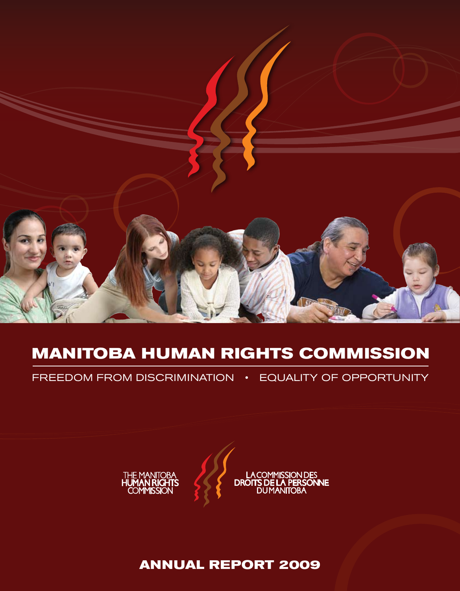

# **MANITOBA HUMAN RIGHTS COMMISSION**

FREEDOM FROM DISCRIMINATION • EQUALITY OF OPPORTUNITY



**ANNUAL REPORT 2009**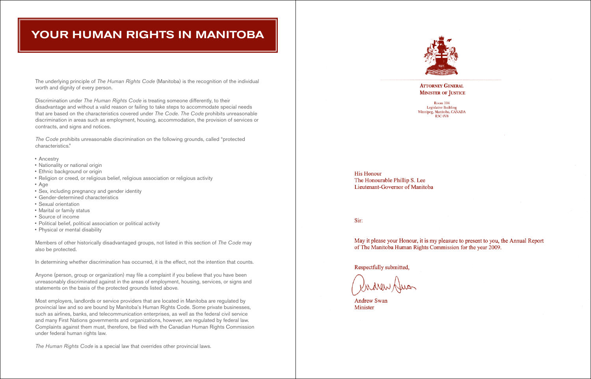# YOUR HUMAN RIGHTS IN MANITOBA

The underlying principle of *The Human Rights Code* (Manitoba) is the recognition of the individual worth and dignity of every person.

Discrimination under *The Human Rights Code* is treating someone differently, to their disadvantage and without a valid reason or failing to take steps to accommodate special needs that are based on the characteristics covered under *The Code*. *The Code* prohibits unreasonable discrimination in areas such as employment, housing, accommodation, the provision of services or contracts, and signs and notices.

*The Code* prohibits unreasonable discrimination on the following grounds, called "protected characteristics."

- Ancestry
- Nationality or national origin
- Ethnic background or origin
- Religion or creed, or religious belief, religious association or religious activity
- • Age
- • Sex, including pregnancy and gender identity
- • Gender-determined characteristics
- • Sexual orientation
- • Marital or family status
- • Source of income
- Political belief, political association or political activity
- Physical or mental disability

Members of other historically disadvantaged groups, not listed in this section of *The Code* may also be protected.

In determining whether discrimination has occurred, it is the effect, not the intention that counts.

Anyone (person, group or organization) may file a complaint if you believe that you have been unreasonably discriminated against in the areas of employment, housing, services, or signs and statements on the basis of the protected grounds listed above.

Most employers, landlords or service providers that are located in Manitoba are regulated by provincial law and so are bound by Manitoba's Human Rights Code. Some private businesses, such as airlines, banks, and telecommunication enterprises, as well as the federal civil service and many First Nations governments and organizations, however, are regulated by federal law. Complaints against them must, therefore, be filed with the Canadian Human Rights Commission under federal human rights law.

*The Human Rights Code* is a special law that overrides other provincial laws.



**His Honour** The Honourable Phillip S. Lee Lieutenant-Governor of Manitoba

Sir:

May it please your Honour, it is my pleasure to present to you, the Annual Report of The Manitoba Human Rights Commission for the year 2009.

Respectfully submitted,

**Andrew Swan** Minister

## **ATTORNEY GENERAL MINISTER OF JUSTICE**

Room 104 **Legislative Building** Winnipeg, Manitoba, CANADA **R3C 0V8**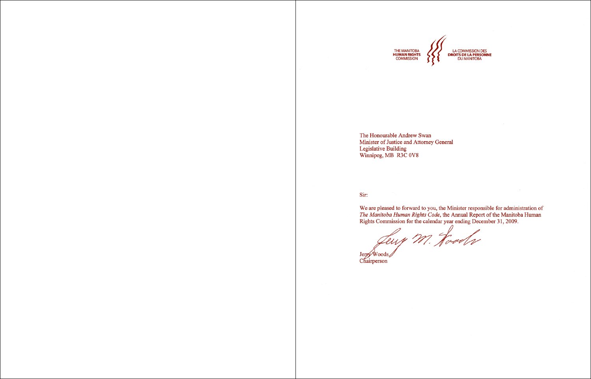

The Honourable Andrew Swan Minister of Justice and Attorney General Legislative Building<br>Winnipeg, MB R3C 0V8

## Sir:

We are pleased to forward to you, the Minister responsible for administration of The Manitoba Human Rights Code, the Annual Report of the Manitoba Human<br>Rights Commission for the calendar year ending December 31, 2009.

Leup M. Hoods Jerry Woods Chairperson

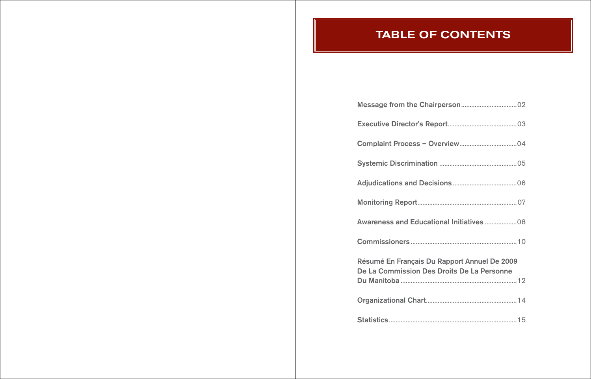Message from the Chairp Executive Director's Report Complaint Process - Over Systemic Discrimination ... **Adjudications and Decisions** Monitoring Report............... Awareness and Education Commissioners ................... Résumé En Français Du Rapport Annuel De 2011 De La Commission Des D Du Manitoba .......................... Organizational Chart.......... Statistics............................................................................15

# **TABLE OF CONTENTS**

| nal Initiatives 08                                           |  |
|--------------------------------------------------------------|--|
|                                                              |  |
| <b>apport Annuel De 2009</b><br><b>Proits De La Personne</b> |  |
|                                                              |  |
|                                                              |  |
|                                                              |  |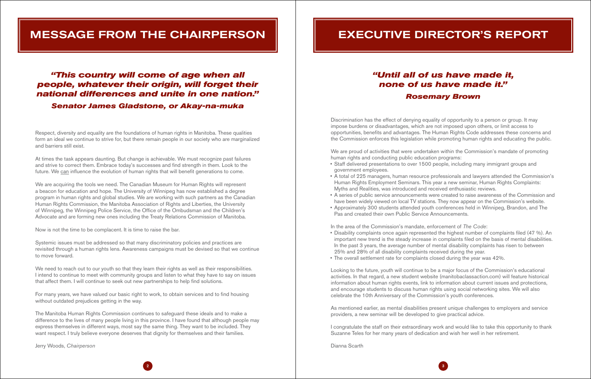# message from the chairperson

Respect, diversity and equality are the foundations of human rights in Manitoba. These qualities form an ideal we continue to strive for, but there remain people in our society who are marginalized and barriers still exist.

At times the task appears daunting. But change is achievable. We must recognize past failures and strive to correct them. Embrace today's successes and find strength in them. Look to the future. We can influence the evolution of human rights that will benefit generations to come.

We are acquiring the tools we need. The Canadian Museum for Human Rights will represent a beacon for education and hope. The University of Winnipeg has now established a degree program in human rights and global studies. We are working with such partners as the Canadian Human Rights Commission, the Manitoba Association of Rights and Liberties, the University of Winnipeg, the Winnipeg Police Service, the Office of the Ombudsman and the Children's Advocate and are forming new ones including the Treaty Relations Commission of Manitoba.

We need to reach out to our youth so that they learn their rights as well as their responsibilities. I intend to continue to meet with community groups and listen to what they have to say on issues that affect them. I will continue to seek out new partnerships to help find solutions.

Now is not the time to be complacent. It is time to raise the bar.

Systemic issues must be addressed so that many discriminatory policies and practices are revisited through a human rights lens. Awareness campaigns must be devised so that we continue to move forward.

For many years, we have valued our basic right to work, to obtain services and to find housing without outdated prejudices getting in the way.

- Staff delivered presentations to over 1500 people, including many immigrant groups and government employees.
- • A total of 225 managers, human resource professionals and lawyers attended the Commission's Human Rights Employment Seminars. This year a new seminar, Human Rights Complaints: Myths and Realities, was introduced and received enthusiastic reviews.
- have been widely viewed on local TV stations. They now appear on the Commission's website.
- Pas and created their own Public Service Announcements.

The Manitoba Human Rights Commission continues to safeguard these ideals and to make a difference to the lives of many people living in this province. I have found that although people may express themselves in different ways, most say the same thing. They want to be included. They want respect. I truly believe everyone deserves that dignity for themselves and their families.

Jerry Woods, *Chairperson*

# **EXECUTIVE DIRECTOR'S REPORT**

# *"This country will come of age when all people, whatever their origin, will forget their national differences and unite in one nation."*

*Senator James Gladstone, or Akay-na-muka*

Discrimination has the effect of denying equality of opportunity to a person or group. It may impose burdens or disadvantages, which are not imposed upon others, or limit access to opportunities, benefits and advantages. The Human Rights Code addresses these concerns and the Commission enforces this legislation while promoting human rights and educating the public.

We are proud of activities that were undertaken within the Commission's mandate of promoting human rights and conducting public education programs:

• A series of public service announcements were created to raise awareness of the Commission and • Approximately 300 students attended youth conferences held in Winnipeg, Brandon, and The

In the area of the Commission's mandate, enforcement of *The Code*:

- Disability complaints once again represented the highest number of complaints filed (47 %). An In the past 3 years, the average number of mental disability complaints has risen to between 25% and 28% of all disability complaints received during the year.
- The overall settlement rate for complaints closed during the year was 42%.

important new trend is the steady increase in complaints filed on the basis of mental disabilities.

Looking to the future, youth will continue to be a major focus of the Commission's educational activities. In that regard, a new student website (manitobaclassaction.com) will feature historical information about human rights events, link to information about current issues and protections, and encourage students to discuss human rights using social networking sites. We will also celebrate the 10th Anniversary of the Commission's youth conferences.

As mentioned earlier, as mental disabilities present unique challenges to employers and service providers, a new seminar will be developed to give practical advice.

I congratulate the staff on their extraordinary work and would like to take this opportunity to thank Suzanne Teles for her many years of dedication and wish her well in her retirement.

Dianna Scarth

# *"Until all of us have made it, none of us have made it." Rosemary Brown*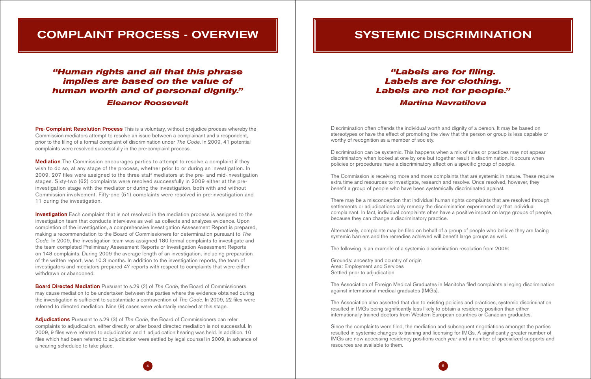# Complaint Process - Overview

**Pre-Complaint Resolution Process** This is a voluntary, without prejudice process whereby the Commission mediators attempt to resolve an issue between a complainant and a respondent, prior to the filing of a formal complaint of discrimination under *The Code*. In 2009, 41 potential complaints were resolved successfully in the pre-complaint process.

**Mediation** The Commission encourages parties to attempt to resolve a complaint if they wish to do so, at any stage of the process, whether prior to or during an investigation. In 2009, 207 files were assigned to the three staff mediators at the pre- and mid-investigation stages. Sixty-two (62) complaints were resolved successfully in 2009 either at the preinvestigation stage with the mediator or during the investigation, both with and without Commission involvement. Fifty-one (51) complaints were resolved in pre-investigation and 11 during the investigation.

**Investigation** Each complaint that is not resolved in the mediation process is assigned to the investigation team that conducts interviews as well as collects and analyzes evidence. Upon completion of the investigation, a comprehensive Investigation Assessment Report is prepared, making a recommendation to the Board of Commissioners for determination pursuant to *The Code.* In 2009, the investigation team was assigned 180 formal complaints to investigate and the team completed Preliminary Assessment Reports or Investigation Assessment Reports on 148 complaints. During 2009 the average length of an investigation, including preparation of the written report, was 10.3 months. In addition to the investigation reports, the team of investigators and mediators prepared 47 reports with respect to complaints that were either withdrawn or abandoned.

Board Directed Mediation Pursuant to s.29 (2) of *The Code*, the Board of Commissioners may cause mediation to be undertaken between the parties where the evidence obtained during the investigation is sufficient to substantiate a contravention of *The Code*. In 2009, 22 files were referred to directed mediation. Nine (9) cases were voluntarily resolved at this stage.

Adjudications Pursuant to s.29 (3) of *The Code*, the Board of Commissioners can refer complaints to adjudication, either directly or after board directed mediation is not successful. In 2009, 9 files were referred to adjudication and 1 adjudication hearing was held. In addition, 10 files which had been referred to adjudication were settled by legal counsel in 2009, in advance of a hearing scheduled to take place.

# *"Human rights and all that this phrase implies are based on the value of human worth and of personal dignity." Eleanor Roosevelt*

# SYSTEMIC DISCRIMINATION

Discrimination often offends the individual worth and dignity of a person. It may be based on stereotypes or have the effect of promoting the view that the person or group is less capable or worthy of recognition as a member of society.

Discrimination can be systemic. This happens when a mix of rules or practices may not appear discriminatory when looked at one by one but together result in discrimination. It occurs when policies or procedures have a discriminatory affect on a specific group of people.

The Commission is receiving more and more complaints that are systemic in nature. These require extra time and resources to investigate, research and resolve. Once resolved, however, they benefit a group of people who have been systemically discriminated against.

There may be a misconception that individual human rights complaints that are resolved through settlements or adjudications only remedy the discrimination experienced by that individual complainant. In fact, individual complaints often have a positive impact on large groups of people, because they can change a discriminatory practice.

Alternatively, complaints may be filed on behalf of a group of people who believe they are facing systemic barriers and the remedies achieved will benefit large groups as well.

The following is an example of a systemic discrimination resolution from 2009:

Grounds: ancestry and country of origin Area: Employment and Services Settled prior to adjudication

The Association of Foreign Medical Graduates in Manitoba filed complaints alleging discrimination against international medical graduates (IMGs).

The Association also asserted that due to existing policies and practices, systemic discrimination resulted in IMGs being significantly less likely to obtain a residency position than either internationally trained doctors from Western European countries or Canadian graduates.

Since the complaints were filed, the mediation and subsequent negotiations amongst the parties resulted in systemic changes to training and licensing for IMGs. A significantly greater number of IMGs are now accessing residency positions each year and a number of specialized supports and resources are available to them.

# *"Labels are for filing. Labels are for clothing. Labels are not for people." Martina Navratilova*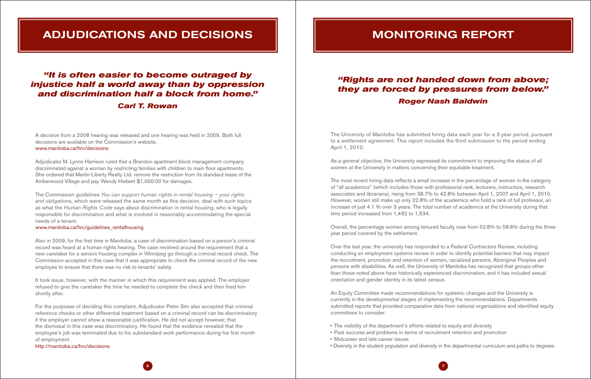# Adjudications and Decisions

A decision from a 2008 hearing was released and one hearing was held in 2009. Both full decisions are available on the Commission's website. www.manitoba.ca/hrc/decisions

## Adjudicator M. Lynne Harrison ruled that a Brandon apartment block management company discriminated against a woman by restricting families with children to main floor apartments. She ordered that Martin-Liberty Realty Ltd. remove the restriction from its standard lease of the Amberwood Village and pay Wendy Hiebert \$1,000.00 for damages.

The Commission guidelines *You can support human rights in rental housing – your rights and obligations*, which were released the same month as this decision, deal with such topics as what the *Human Rights Code* says about discrimination in rental housing, who is legally responsible for discrimination and what is involved in reasonably accommodating the special needs of a tenant.

### www.manitoba.ca/hrc/guidelines\_rentalhousing

Also in 2009, for the first time in Manitoba, a case of discrimination based on a person's criminal record was heard at a human rights hearing. The case revolved around the requirement that a new caretaker for a seniors housing complex in Winnipeg go through a criminal record check. The Commission accepted in this case that it was appropriate to check the criminal record of the new employee to ensure that there was no risk to tenants' safety.

It took issue, however, with the manner in which this requirement was applied. The employer refused to give the caretaker the time he needed to complete the check and then fired him shortly after.

For the purposes of deciding this complaint, Adjudicator Peter Sim also accepted that criminal reference checks or other differential treatment based on a criminal record can be discriminatory if the employer cannot show a reasonable justification. He did not accept however, that the dismissal in this case was discriminatory. He found that the evidence revealed that the employee's job was terminated due to his substandard work performance during his first month of employment.

http://manitoba.ca/hrc/decisions

- The visibility of the department's efforts related to equity and diversity
- Past success and problems in terms of recruitment retention and promotion
- • Midcareer and late career issues
- 

# *"It is often easier to become outraged by injustice half a world away than by oppression and discrimination half a block from home."*

# *Carl T. Rowan*

# MONITORING REPORT

The University of Manitoba has submitted hiring data each year for a 3 year period, pursuant to a settlement agreement. This report includes the third submission to the period ending April 1, 2010.

As a general objective, the University expressed its commitment to improving the status of all women at the University in matters concerning their equitable treatment.

The most recent hiring data reflects a small increase in the percentage of women in the category of "all academics" (which includes those with professorial rank, lecturers, instructors, research associates and librarians), rising from 38.7% to 42.8% between April 1, 2007 and April 1, 2010. However, women still make up only 22.8% of the academics who hold a rank of full professor, an increase of just 4.1 % over 3 years. The total number of academics at the University during that time period increased from 1,462 to 1,534.

Overall, the percentage women among tenured faculty rose from 52.8% to 58.6% during the three year period covered by the settlement.

Over the last year, the university has responded to a Federal Contractors Review, including conducting an employment systems review in order to identify potential barriers that may impact the recruitment, promotion and retention of women, racialized persons, Aboriginal Peoples and persons with disabilities. As well, the University of Manitoba has recognized that groups other than those noted above have historically experienced discrimination, and it has included sexual orientation and gender identity in its latest census.

An Equity Committee made recommendations for systemic changes and the University is currently in the developmental stages of implementing the recommendations. Departments submitted reports that provided comparative data from national organizations and identified equity committees to consider:

• Diversity in the student population and diversity in the departmental curriculum and paths to degrees.

# *"Rights are not handed down from above; they are forced by pressures from below." Roger Nash Baldwin*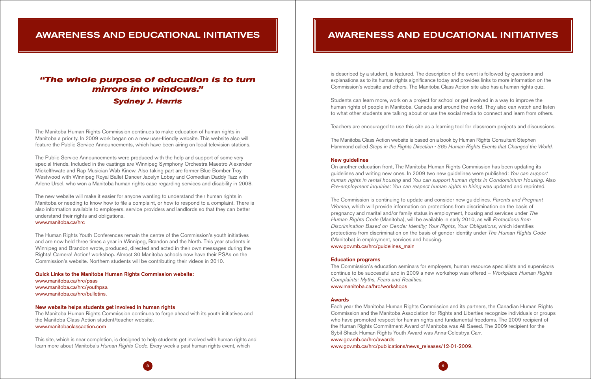# Awareness and Educational Initiatives

The Manitoba Human Rights Commission continues to make education of human rights in Manitoba a priority. In 2009 work began on a new user-friendly website. This website also will feature the Public Service Announcements, which have been airing on local television stations.

The Public Service Announcements were produced with the help and support of some very special friends. Included in the castings are Winnipeg Symphony Orchestra Maestro Alexander Mickelthwate and Rap Musician Wab Kinew. Also taking part are former Blue Bomber Troy Westwood with Winnipeg Royal Ballet Dancer Jacelyn Lobay and Comedian Daddy Tazz with Arlene Ursel, who won a Manitoba human rights case regarding services and disability in 2008.

The new website will make it easier for anyone wanting to understand their human rights in Manitoba or needing to know how to file a complaint, or how to respond to a complaint. There is also information available to employers, service providers and landlords so that they can better understand their rights and obligations. www.manitoba.ca/hrc

The Human Rights Youth Conferences remain the centre of the Commission's youth initiatives and are now held three times a year in Winnipeg, Brandon and the North. This year students in Winnipeg and Brandon wrote, produced, directed and acted in their own messages during the Rights! Camera! Action! workshop. Almost 30 Manitoba schools now have their PSAs on the Commission's website. Northern students will be contributing their videos in 2010.

#### Quick Links to the Manitoba Human Rights Commission website:

www.manitoba.ca/hrc/psas www.manitoba.ca/hrc/youthpsa www.manitoba.ca/hrc/bulletins.

### New website helps students get involved in human rights

The Manitoba Human Rights Commission continues to forge ahead with its youth initiatives and the Manitoba Class Action student/teacher website. www.manitobaclassaction.com

This site, which is near completion, is designed to help students get involved with human rights and learn more about Manitoba's *Human Rights Code*. Every week a past human rights event, which

# *"The whole purpose of education is to turn mirrors into windows." Sydney J. Harris*

is described by a student, is featured. The description of the event is followed by questions and explanations as to its human rights significance today and provides links to more information on the Commission's website and others. The Manitoba Class Action site also has a human rights quiz.

Students can learn more, work on a project for school or get involved in a way to improve the human rights of people in Manitoba, Canada and around the world. They also can watch and listen to what other students are talking about or use the social media to connect and learn from others.

Teachers are encouraged to use this site as a learning tool for classroom projects and discussions.

The Manitoba Class Action website is based on a book by Human Rights Consultant Stephen Hammond called *Steps in the Rights Direction - 365 Human Rights Events that Changed the World*.

#### New guidelines

On another education front, The Manitoba Human Rights Commission has been updating its guidelines and writing new ones. In 2009 two new guidelines were published: *You can support human rights in rental housing* and *You can support human rights in Condominium Housing*. Also *Pre-employment inquiries: You can respect human rights in hiring* was updated and reprinted.

The Commission is continuing to update and consider new guidelines. *Parents and Pregnant Women*, which will provide information on protections from discrimination on the basis of pregnancy and marital and/or family status in employment, housing and services under *The Human Rights Code* (Manitoba), will be available in early 2010, as will *Protections from Discrimination Based on Gender Identity; Your Rights, Your Obligations*, which identifies protections from discrimination on the basis of gender identity under *The Human Rights Code* (Manitoba) in employment, services and housing. www.gov.mb.ca/hrc/guidelines\_main

#### Education programs

The Commission's education seminars for employers, human resource specialists and supervisors continue to be successful and in 2009 a new workshop was offered – *Workplace Human Rights Complaints: Myths, Fears and Realities.*  www.manitoba.ca/hrc/workshops

### Awards

Each year the Manitoba Human Rights Commission and its partners, the Canadian Human Rights Commission and the Manitoba Association for Rights and Liberties recognize individuals or groups who have promoted respect for human rights and fundamental freedoms. The 2009 recipient of the Human Rights Commitment Award of Manitoba was Ali Saeed. The 2009 recipient for the Sybil Shack Human Rights Youth Award was Anna-Celestrya Carr. www.gov.mb.ca/hrc/awards

www.gov.mb.ca/hrc/publications/news\_releases/12-01-2009.

# Awareness and Educational Initiatives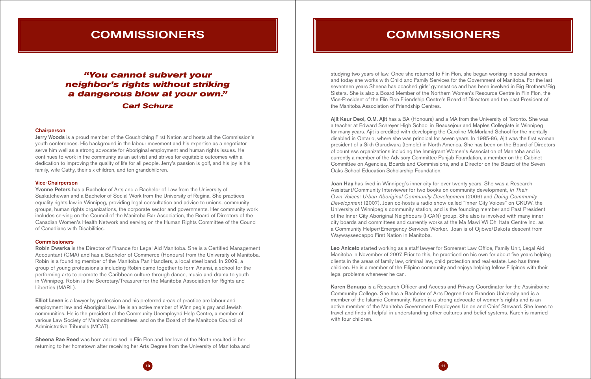

Jerry Woods is a proud member of the Couchiching First Nation and hosts all the Commission's youth conferences. His background in the labour movement and his expertise as a negotiator serve him well as a strong advocate for Aboriginal employment and human rights issues. He continues to work in the community as an activist and strives for equitable outcomes with a dedication to improving the quality of life for all people. Jerry's passion is golf, and his joy is his family, wife Cathy, their six children, and ten grandchildren.

### Vice-Chairperson

Yvonne Peters has a Bachelor of Arts and a Bachelor of Law from the University of Saskatchewan and a Bachelor of Social Work from the University of Regina. She practices equality rights law in Winnipeg, providing legal consultation and advice to unions, community groups, human rights organizations, the corporate sector and governments. Her community work includes serving on the Council of the Manitoba Bar Association, the Board of Directors of the Canadian Women's Health Network and serving on the Human Rights Committee of the Council of Canadians with Disabilities.

### **Commissioners**

Elliot Leven is a lawyer by profession and his preferred areas of practice are labour and employment law and Aboriginal law. He is an active member of Winnipeg's gay and Jewish communities. He is the president of the Community Unemployed Help Centre, a member of various Law Society of Manitoba committees, and on the Board of the Manitoba Council of Administrative Tribunals (MCAT).

Sheena Rae Reed was born and raised in Flin Flon and her love of the North resulted in her returning to her hometown after receiving her Arts Degree from the University of Manitoba and

# **COMMISSIONERS**

Robin Dwarka is the Director of Finance for Legal Aid Manitoba. She is a Certified Management Accountant (CMA) and has a Bachelor of Commerce (Honours) from the University of Manitoba. Robin is a founding member of the Manitoba Pan Handlers, a local steel band. In 2009, a group of young professionals including Robin came together to form Anansi, a school for the performing arts to promote the Caribbean culture through dance, music and drama to youth in Winnipeg. Robin is the Secretary/Treasurer for the Manitoba Association for Rights and Liberties (MARL).

Ajit Kaur Deol, O.M. Ajit has a BA (Honours) and a MA from the University of Toronto. She was a teacher at Edward Schreyer High School in Beausejour and Maples Collegiate in Winnipeg for many years. Ajit is credited with developing the Caroline McMorland School for the mentally disabled in Ontario, where she was principal for seven years. In 1985-86, Ajit was the first woman president of a Sikh Gurudwara (temple) in North America. She has been on the Board of Directors of countless organizations including the Immigrant Women's Association of Manitoba and is currently a member of the Advisory Committee Punjab Foundation, a member on the Cabinet Committee on Agencies, Boards and Commissions, and a Director on the Board of the Seven Oaks School Education Scholarship Foundation.

Joan Hay has lived in Winnipeg's inner city for over twenty years. She was a Research Assistant/Community Interviewer for two books on community development, *In Their Own Voices: Urban Aboriginal Community Development* (2006) and *Doing Community Development* (2007). Joan co-hosts a radio show called "Inner City Voices" on CKUW, the University of Winnipeg's community station, and is the founding member and Past President of the Inner City Aboriginal Neighbours (I-CAN) group. She also is involved with many inner city boards and committees and currently works at the Ma Mawi Wi Chi Itata Centre Inc. as a Community Helper/Emergency Services Worker. Joan is of Ojibwe/Dakota descent from Waywayseecappo First Nation in Manitoba.

# **COMMISSIONERS**

# *"You cannot subvert your neighbor's rights without striking a dangerous blow at your own." Carl Schurz*

#### **Chairperson**

studying two years of law. Once she returned to Flin Flon, she began working in social services and today she works with Child and Family Services for the Government of Manitoba. For the last seventeen years Sheena has coached girls' gymnastics and has been involved in Big Brothers/Big Sisters. She is also a Board Member of the Northern Women's Resource Centre in Flin Flon, the Vice-President of the Flin Flon Friendship Centre's Board of Directors and the past President of the Manitoba Association of Friendship Centres.

Leo Aniceto started working as a staff lawyer for Somerset Law Office, Family Unit, Legal Aid Manitoba in November of 2007. Prior to this, he practiced on his own for about five years helping clients in the areas of family law, criminal law, child protection and real estate. Leo has three children. He is a member of the Filipino community and enjoys helping fellow Filipinos with their legal problems whenever he can.

Karen Banuga is a Research Officer and Access and Privacy Coordinator for the Assiniboine Community College. She has a Bachelor of Arts Degree from Brandon University and is a member of the Islamic Community. Karen is a strong advocate of women's rights and is an active member of the Manitoba Government Employees Union and Chief Steward. She loves to travel and finds it helpful in understanding other cultures and belief systems. Karen is married with four children.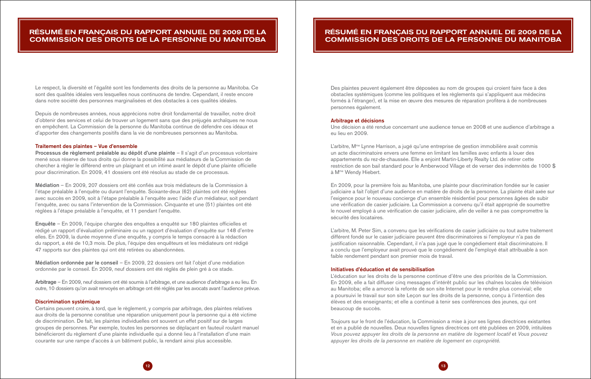# Résumé En Français Du Rapport Annuel De 2009 De La Commission Des Droits De La Personne Du Manitoba

Le respect, la diversité et l'égalité sont les fondements des droits de la personne au Manitoba. Ce sont des qualités idéales vers lesquelles nous continuons de tendre. Cependant, il reste encore dans notre société des personnes marginalisées et des obstacles à ces qualités idéales.

Depuis de nombreuses années, nous apprécions notre droit fondamental de travailler, notre droit d'obtenir des services et celui de trouver un logement sans que des préjugés archaïques ne nous en empêchent. La Commission de la personne du Manitoba continue de défendre ces idéaux et d'apporter des changements positifs dans la vie de nombreuses personnes au Manitoba.

Processus de règlement préalable au dépôt d'une plainte - Il s'agit d'un processus volontaire mené sous réserve de tous droits qui donne la possibilité aux médiateurs de la Commission de chercher à régler le différend entre un plaignant et un intimé avant le dépôt d'une plainte officielle pour discrimination. En 2009, 41 dossiers ont été résolus au stade de ce processus.

#### Traitement des plaintes – Vue d'ensemble

Arbitrage – En 2009, neuf dossiers ont été soumis à l'arbitrage, et une audience d'arbitrage a eu lieu. En outre, 10 dossiers qu'on avait renvoyés en arbitrage ont été réglés par les avocats avant l'audience prévue.

Médiation – En 2009, 207 dossiers ont été confiés aux trois médiateurs de la Commission à l'étape préalable à l'enquête ou durant l'enquête. Soixante-deux (62) plaintes ont été réglées avec succès en 2009, soit à l'étape préalable à l'enquête avec l'aide d'un médiateur, soit pendant l'enquête, avec ou sans l'intervention de la Commission. Cinquante et une (51) plaintes ont été réglées à l'étape préalable à l'enquête, et 11 pendant l'enquête.

Enquête – En 2009, l'équipe chargée des enquêtes a enquêté sur 180 plaintes officielles et rédigé un rapport d'évaluation préliminaire ou un rapport d'évaluation d'enquête sur 148 d'entre elles. En 2009, la durée moyenne d'une enquête, y compris le temps consacré à la rédaction du rapport, a été de 10,3 mois. De plus, l'équipe des enquêteurs et les médiateurs ont rédigé 47 rapports sur des plaintes qui ont été retirées ou abandonnées.

L'arbitre, M<sup>me</sup> Lynne Harrison, a jugé qu'une entreprise de gestion immobilière avait commis un acte discriminatoire envers une femme en limitant les familles avec enfants à louer des appartements du rez-de-chaussée. Elle a enjoint Martin-Liberty Realty Ltd. de retirer cette restriction de son bail standard pour le Amberwood Village et de verser des indemnités de 1000 \$ à Mme Wendy Hiebert.

Médiation ordonnée par le conseil – En 2009, 22 dossiers ont fait l'objet d'une médiation ordonnée par le conseil. En 2009, neuf dossiers ont été réglés de plein gré à ce stade.

#### Discrimination systémique

Certains peuvent croire, à tord, que le règlement, y compris par arbitrage, des plaintes relatives aux droits de la personne constitue une réparation uniquement pour la personne qui a été victime de discrimination. De fait, les plaintes individuelles ont souvent un effet positif sur de larges groupes de personnes. Par exemple, toutes les personnes se déplaçant en fauteuil roulant manuel bénéficieront du règlement d'une plainte individuelle qui a donné lieu à l'installation d'une main courante sur une rampe d'accès à un bâtiment public, la rendant ainsi plus accessible.

Des plaintes peuvent également être déposées au nom de groupes qui croient faire face à des obstacles systémiques (comme les politiques et les règlements qui s'appliquent aux médecins formés à l'étranger), et la mise en œuvre des mesures de réparation profitera à de nombreuses personnes également.

#### Arbitrage et décisions

Une décision a été rendue concernant une audience tenue en 2008 et une audience d'arbitrage a eu lieu en 2009.

En 2009, pour la première fois au Manitoba, une plainte pour discrimination fondée sur le casier judiciaire a fait l'objet d'une audience en matière de droits de la personne. La plainte était axée sur l'exigence pour le nouveau concierge d'un ensemble résidentiel pour personnes âgées de subir une vérification de casier judiciaire. La Commission a convenu qu'il était approprié de soumettre le nouvel employé à une vérification de casier judiciaire, afin de veiller à ne pas compromettre la sécurité des locataires.

L'arbitre, M. Peter Sim, a convenu que les vérifications de casier judiciaire ou tout autre traitement différent fondé sur le casier judiciaire peuvent être discriminatoires si l'employeur n'a pas de justification raisonnable. Cependant, il n'a pas jugé que le congédiement était discriminatoire. Il a conclu que l'employeur avait prouvé que le congédiement de l'employé était attribuable à son faible rendement pendant son premier mois de travail.

### Initiatives d'éducation et de sensibilisation

L'éducation sur les droits de la personne continue d'être une des priorités de la Commission. En 2009, elle a fait diffuser cinq messages d'intérêt public sur les chaînes locales de télévision au Manitoba; elle a amorcé la refonte de son site Internet pour le rendre plus convivial; elle a poursuivi le travail sur son site Leçon sur les droits de la personne, conçu à l'intention des élèves et des enseignants; et elle a continué à tenir ses conférences des jeunes, qui ont beaucoup de succès.

Toujours sur le front de l'éducation, la Commission a mise à jour ses lignes directrices existantes et en a publié de nouvelles. Deux nouvelles lignes directrices ont été publiées en 2009, intitulées *Vous pouvez appuyer les droits de la personne en matière de logement locatif* et *Vous pouvez appuyer les droits de la personne en matière de logement en copropriété.* 

# Résumé En Français Du Rapport Annuel De 2009 De La Commission Des Droits De La Personne Du Manitoba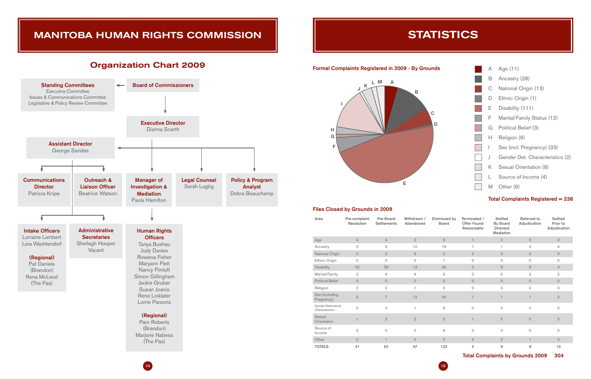

### Formal Complaints Registered in 2009 - By Grounds

# Manitoba Human Rights Commission

# **STATISTICS**

# Organization Chart 2009



### Files Closed by Grounds in 2009

| Area                                 | Pre-complaint<br><b>Resolution</b> | Pre-Board<br><b>Settlements</b> | Withdrawn /<br>Abandoned | Dismissed by<br><b>Board</b> | Terminated /<br><b>Offer Found</b><br>Reasonable | <b>Settled</b><br><b>By Board</b><br><b>Directed</b><br><b>Mediation</b> | Referred to<br>Adjudication | <b>Settled</b><br>Prior to<br>Adjudication |
|--------------------------------------|------------------------------------|---------------------------------|--------------------------|------------------------------|--------------------------------------------------|--------------------------------------------------------------------------|-----------------------------|--------------------------------------------|
| Age                                  | $\overline{4}$                     | $\overline{4}$                  | $\overline{2}$           | $\overline{9}$               | $\mathbf{1}$                                     | $\circ$                                                                  | $\circ$                     | $\circ$                                    |
| Ancestry                             | 3                                  | 5                               | 10                       | 19                           |                                                  | 1                                                                        | $\circ$                     | 4                                          |
| National Origin                      | $\circ$                            | $\circ$                         | 3                        | $\overline{2}$               | $\circ$                                          | $\circ$                                                                  | $\circ$                     | $\circ$                                    |
| Ethnic Origin                        | $\Omega$                           | $\circ$                         | $\Omega$                 | $\overline{1}$               | $\circ$                                          | $\circ$                                                                  | $\circ$                     | $\circ$                                    |
| <b>Disability</b>                    | 22                                 | 39                              | 12                       | 45                           | $\circ$                                          | $\overline{5}$                                                           | 5                           | $\overline{4}$                             |
| Marital/Family                       | $\overline{2}$                     | $\overline{4}$                  | $\overline{4}$           | 5                            | $\circ$                                          | $\circ$                                                                  | $\overline{2}$              | $\overline{2}$                             |
| <b>Political Belief</b>              | $\circ$                            | $\circ$                         | $\circ$                  | $\circ$                      | $\circ$                                          | $\circ$                                                                  | $\circ$                     | $\circ$                                    |
| Religion                             | $\overline{2}$                     | $\circ$                         | 1                        | 3                            | $\circ$                                          | $\circ$                                                                  | $\circ$                     | $\circ$                                    |
| Sex (including<br>Pregnancy)         | 5                                  | $\overline{7}$                  | 12                       | 24                           | 1                                                | 1                                                                        |                             | $\overline{0}$                             |
| Gender Determined<br>Characteristics | $\mathbf 0$                        | $\circ$                         | 1                        | 6                            | $\circ$                                          | $\circ$                                                                  | $\circ$                     | $\Omega$                                   |
| Sexual<br>Orientation                |                                    | $\overline{2}$                  | $\overline{2}$           | $\Omega$                     |                                                  | $\circ$                                                                  | $\Omega$                    | $\overline{0}$                             |
| Source of<br>Income                  | $\overline{2}$                     | $\circ$                         | $\Omega$                 | 6                            | $\Omega$                                         | $\circ$                                                                  | $\circ$                     | $\Omega$                                   |
| Other                                | $\circ$                            | $\mathbf{1}$                    | $\circ$                  | $\overline{2}$               | $\circ$                                          | $\overline{2}$                                                           | $\mathbf{1}$                | $\circ$                                    |
| <b>TOTALS</b>                        | 41                                 | 62                              | 47                       | 122                          | 4                                                | 9                                                                        | 9                           | 10                                         |

Total Complaints by Grounds 2009 304

 $14$  ) and the contract of the contract of the contract of the contract of the contract of the contract of the contract of the contract of the contract of the contract of the contract of the contract of the contract of th

| A  | Age $(11)$                      |
|----|---------------------------------|
| в  | Ancestry (28)                   |
| С  | National Origin (13)            |
| D  | Ethnic Origin (1)               |
| E. | Disability (111)                |
| F  | Marital/Family Status (12)      |
| G  | Political Belief (3)            |
| H. | Religion (6)                    |
| I  | Sex (incl. Pregnancy) (33)      |
| J  | Gender Det. Characteristics (2) |
| K. | Sexual Orientation (8)          |
| L  | Source of Income (4)            |
| M  | Other (6)                       |

## Total Complaints Registered = 238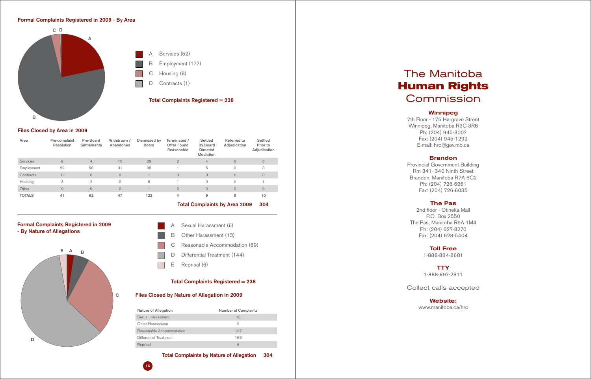16



# Formal Complaints Registered in 2009 - By Nature of Allegations

- Sexual Harassment (6) B Other Harassment (13)
- C Reasonable Accommodation (69)
- D Differential Treatment (144)
- E Reprisal (6)

## Total Complaints Registered = 238

## Files Closed by Nature of Allegation in 2009

| Nature of Allegation     | <b>Number of Complaints</b> |
|--------------------------|-----------------------------|
| Sexual Harassment        | 13                          |
| <b>Other Harassment</b>  | 9                           |
| Reasonable Accommodation | 107                         |
| Differential Treatment   | 169                         |
| Reprisal                 | 6                           |

## Total Complaints by Nature of Allegation 304

## Files Closed by Area in 2009

# The Manitoba **Human Rights Commission**

| Area            | Pre-complaint<br>Resolution | Pre-Board<br><b>Settlements</b> | Withdrawn /<br>Abandoned | Dismissed by<br><b>Board</b> | Terminated /<br><b>Offer Found</b><br>Reasonable | Settled<br>By Board<br><b>Directed</b><br><b>Mediation</b> | Referred to<br>Adjudication | Settled<br>Prior to<br>Adjudication |
|-----------------|-----------------------------|---------------------------------|--------------------------|------------------------------|--------------------------------------------------|------------------------------------------------------------|-----------------------------|-------------------------------------|
| <b>Services</b> | 9                           | $\overline{4}$                  | 16                       | 29                           | $\overline{2}$                                   | $\overline{4}$                                             | 6                           | 6                                   |
| Employment      | 29                          | 56                              | 31                       | 85                           |                                                  | 5                                                          | 3                           | 3                                   |
| Contracts       | $\Omega$                    | $\circ$                         | $\Omega$                 |                              | $\Omega$                                         | $\circ$                                                    | $\circ$                     | $\Omega$                            |
| Housing         | 3                           | $\mathfrak{D}$                  | $\Omega$                 | 6                            |                                                  | 0                                                          | $\circ$                     |                                     |
| Other           | $\overline{0}$              | $\circ$                         | $\circ$                  |                              | $\mathbf{0}$                                     | $\mathbf{O}$                                               | $\circ$                     | $\Omega$                            |
| <b>TOTALS</b>   | 41                          | 62                              | 47                       | 122                          | 4                                                | 9                                                          | 9                           | 10                                  |



Total Complaints by Area 2009 304

### Formal Complaints Registered in 2009 - By Area

## Winnipeg

7th Floor - 175 Hargrave Street Winnipeg, Manitoba R3C 3R8 Ph: (204) 945-3007 Fax: (204) 945-1292 E-mail: hrc@gov.mb.ca

## Brandon

Provincial Government Building Rm 341- 340 Ninth Street Brandon, Manitoba R7A 6C2 Ph: (204) 726-6261 Fax: (204) 726-6035

## The Pas

2nd floor - Otineka Mall P.O. Box 2550 The Pas, Manitoba R9A 1M4 Ph: (204) 627-8270 Fax: (204) 623-5404

# Toll Free

# **TTY**

1-888-884-8681

1-888-897-2811

# Collect calls accepted

## Website:

www.manitoba.ca/hrc